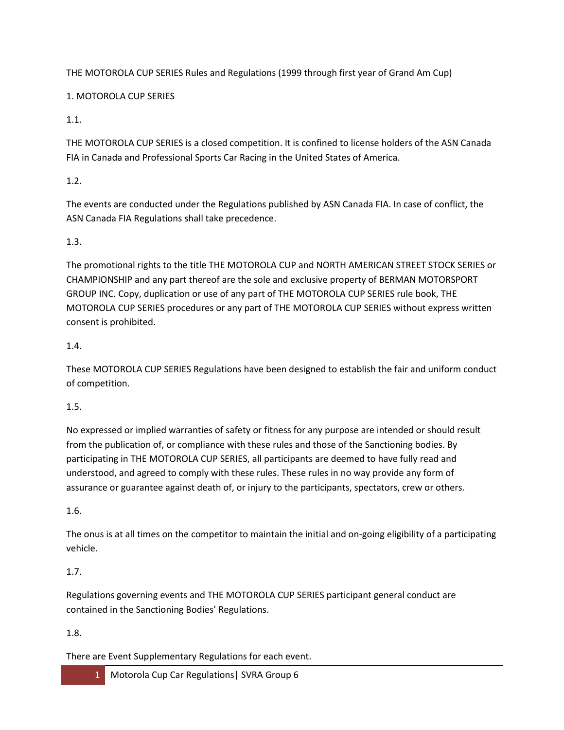THE MOTOROLA CUP SERIES Rules and Regulations (1999 through first year of Grand Am Cup)

1. MOTOROLA CUP SERIES

1.1.

THE MOTOROLA CUP SERIES is a closed competition. It is confined to license holders of the ASN Canada FIA in Canada and Professional Sports Car Racing in the United States of America.

1.2.

The events are conducted under the Regulations published by ASN Canada FIA. In case of conflict, the ASN Canada FIA Regulations shall take precedence.

1.3.

The promotional rights to the title THE MOTOROLA CUP and NORTH AMERICAN STREET STOCK SERIES or CHAMPIONSHIP and any part thereof are the sole and exclusive property of BERMAN MOTORSPORT GROUP INC. Copy, duplication or use of any part of THE MOTOROLA CUP SERIES rule book, THE MOTOROLA CUP SERIES procedures or any part of THE MOTOROLA CUP SERIES without express written consent is prohibited.

1.4.

These MOTOROLA CUP SERIES Regulations have been designed to establish the fair and uniform conduct of competition.

1.5.

No expressed or implied warranties of safety or fitness for any purpose are intended or should result from the publication of, or compliance with these rules and those of the Sanctioning bodies. By participating in THE MOTOROLA CUP SERIES, all participants are deemed to have fully read and understood, and agreed to comply with these rules. These rules in no way provide any form of assurance or guarantee against death of, or injury to the participants, spectators, crew or others.

1.6.

The onus is at all times on the competitor to maintain the initial and on-going eligibility of a participating vehicle.

# 1.7.

Regulations governing events and THE MOTOROLA CUP SERIES participant general conduct are contained in the Sanctioning Bodies' Regulations.

1.8.

There are Event Supplementary Regulations for each event.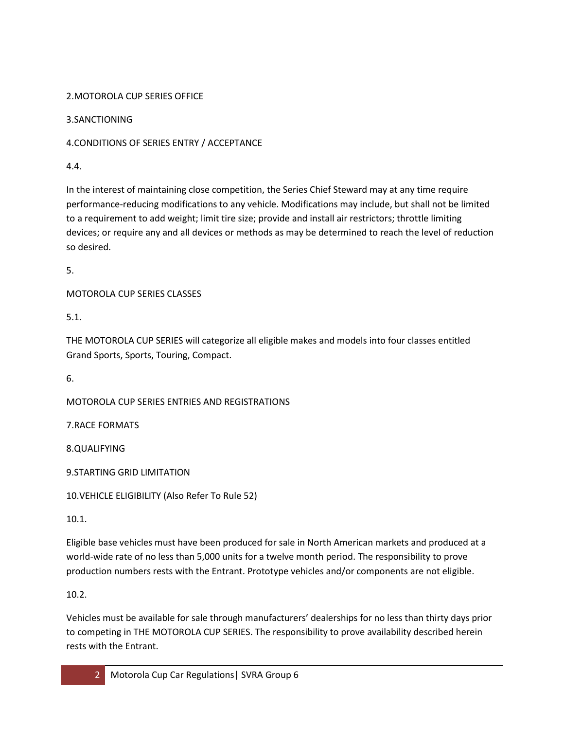### 2.MOTOROLA CUP SERIES OFFICE

3.SANCTIONING

# 4.CONDITIONS OF SERIES ENTRY / ACCEPTANCE

4.4.

In the interest of maintaining close competition, the Series Chief Steward may at any time require performance-reducing modifications to any vehicle. Modifications may include, but shall not be limited to a requirement to add weight; limit tire size; provide and install air restrictors; throttle limiting devices; or require any and all devices or methods as may be determined to reach the level of reduction so desired.

5.

MOTOROLA CUP SERIES CLASSES

5.1.

THE MOTOROLA CUP SERIES will categorize all eligible makes and models into four classes entitled Grand Sports, Sports, Touring, Compact.

6.

MOTOROLA CUP SERIES ENTRIES AND REGISTRATIONS

7.RACE FORMATS

8.QUALIFYING

9.STARTING GRID LIMITATION

10.VEHICLE ELIGIBILITY (Also Refer To Rule 52)

10.1.

Eligible base vehicles must have been produced for sale in North American markets and produced at a world-wide rate of no less than 5,000 units for a twelve month period. The responsibility to prove production numbers rests with the Entrant. Prototype vehicles and/or components are not eligible.

10.2.

Vehicles must be available for sale through manufacturers' dealerships for no less than thirty days prior to competing in THE MOTOROLA CUP SERIES. The responsibility to prove availability described herein rests with the Entrant.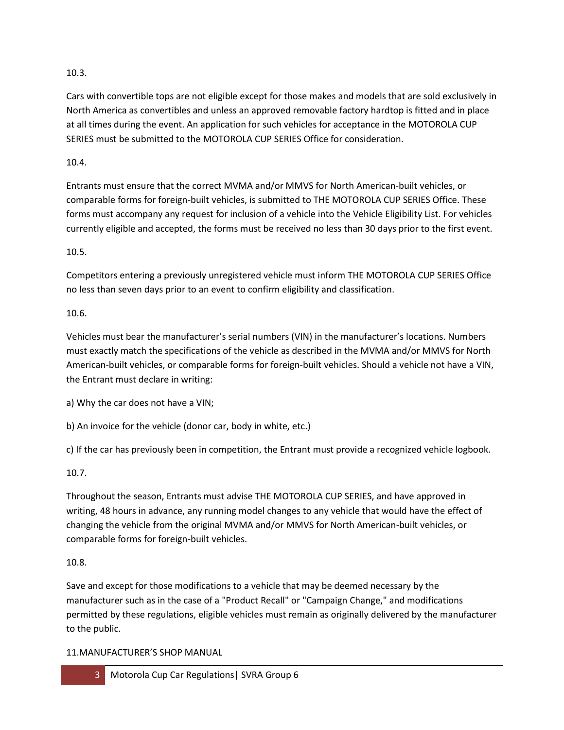### 10.3.

Cars with convertible tops are not eligible except for those makes and models that are sold exclusively in North America as convertibles and unless an approved removable factory hardtop is fitted and in place at all times during the event. An application for such vehicles for acceptance in the MOTOROLA CUP SERIES must be submitted to the MOTOROLA CUP SERIES Office for consideration.

### 10.4.

Entrants must ensure that the correct MVMA and/or MMVS for North American-built vehicles, or comparable forms for foreign-built vehicles, is submitted to THE MOTOROLA CUP SERIES Office. These forms must accompany any request for inclusion of a vehicle into the Vehicle Eligibility List. For vehicles currently eligible and accepted, the forms must be received no less than 30 days prior to the first event.

### 10.5.

Competitors entering a previously unregistered vehicle must inform THE MOTOROLA CUP SERIES Office no less than seven days prior to an event to confirm eligibility and classification.

### 10.6.

Vehicles must bear the manufacturer's serial numbers (VIN) in the manufacturer's locations. Numbers must exactly match the specifications of the vehicle as described in the MVMA and/or MMVS for North American-built vehicles, or comparable forms for foreign-built vehicles. Should a vehicle not have a VIN, the Entrant must declare in writing:

a) Why the car does not have a VIN;

b) An invoice for the vehicle (donor car, body in white, etc.)

c) If the car has previously been in competition, the Entrant must provide a recognized vehicle logbook.

# 10.7.

Throughout the season, Entrants must advise THE MOTOROLA CUP SERIES, and have approved in writing, 48 hours in advance, any running model changes to any vehicle that would have the effect of changing the vehicle from the original MVMA and/or MMVS for North American-built vehicles, or comparable forms for foreign-built vehicles.

### 10.8.

Save and except for those modifications to a vehicle that may be deemed necessary by the manufacturer such as in the case of a "Product Recall" or "Campaign Change," and modifications permitted by these regulations, eligible vehicles must remain as originally delivered by the manufacturer to the public.

### 11.MANUFACTURER'S SHOP MANUAL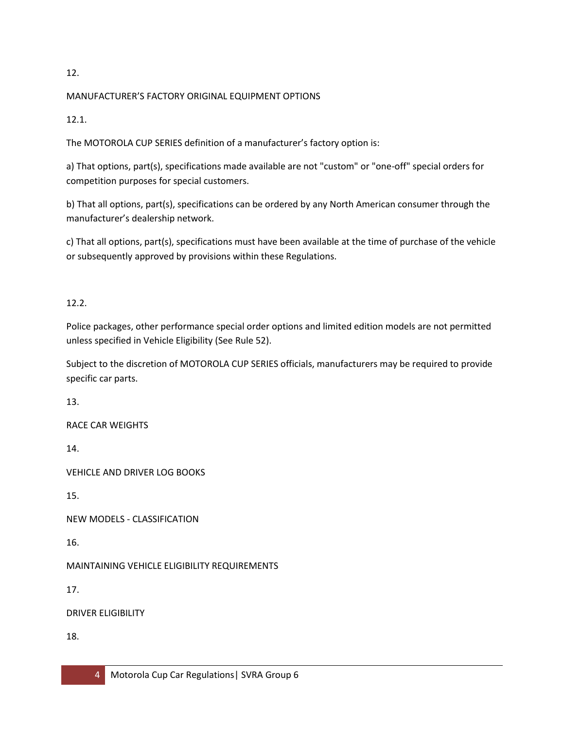#### 12.

### MANUFACTURER'S FACTORY ORIGINAL EQUIPMENT OPTIONS

12.1.

The MOTOROLA CUP SERIES definition of a manufacturer's factory option is:

a) That options, part(s), specifications made available are not "custom" or "one-off" special orders for competition purposes for special customers.

b) That all options, part(s), specifications can be ordered by any North American consumer through the manufacturer's dealership network.

c) That all options, part(s), specifications must have been available at the time of purchase of the vehicle or subsequently approved by provisions within these Regulations.

12.2.

Police packages, other performance special order options and limited edition models are not permitted unless specified in Vehicle Eligibility (See Rule 52).

Subject to the discretion of MOTOROLA CUP SERIES officials, manufacturers may be required to provide specific car parts.

13.

RACE CAR WEIGHTS

14.

VEHICLE AND DRIVER LOG BOOKS

15.

NEW MODELS - CLASSIFICATION

16.

MAINTAINING VEHICLE ELIGIBILITY REQUIREMENTS

17.

DRIVER ELIGIBILITY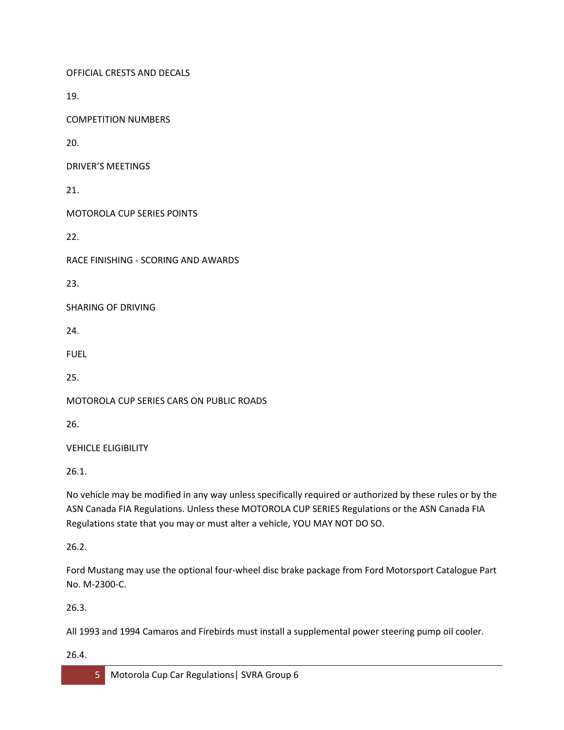OFFICIAL CRESTS AND DECALS

19.

COMPETITION NUMBERS

20.

DRIVER'S MEETINGS

21.

MOTOROLA CUP SERIES POINTS

22.

RACE FINISHING - SCORING AND AWARDS

23.

SHARING OF DRIVING

24.

FUEL

25.

MOTOROLA CUP SERIES CARS ON PUBLIC ROADS

26.

VEHICLE ELIGIBILITY

26.1.

No vehicle may be modified in any way unless specifically required or authorized by these rules or by the ASN Canada FIA Regulations. Unless these MOTOROLA CUP SERIES Regulations or the ASN Canada FIA Regulations state that you may or must alter a vehicle, YOU MAY NOT DO SO.

26.2.

Ford Mustang may use the optional four-wheel disc brake package from Ford Motorsport Catalogue Part No. M-2300-C.

26.3.

All 1993 and 1994 Camaros and Firebirds must install a supplemental power steering pump oil cooler.

26.4.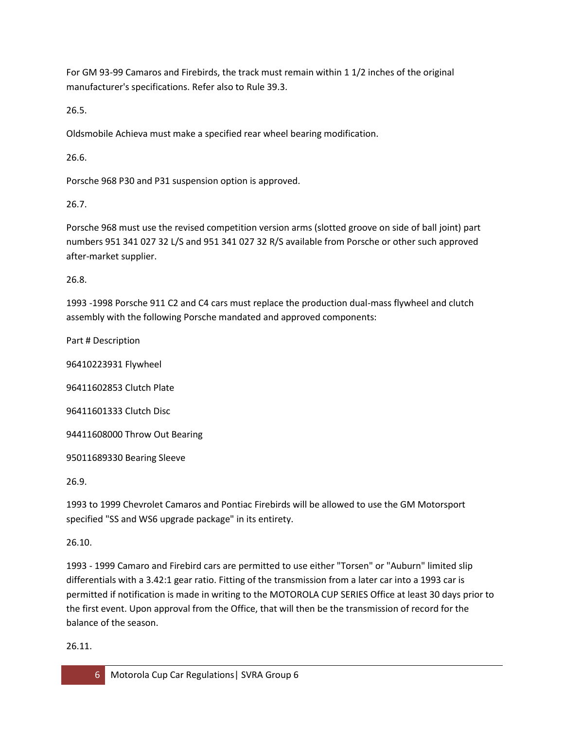For GM 93-99 Camaros and Firebirds, the track must remain within 1 1/2 inches of the original manufacturer's specifications. Refer also to Rule 39.3.

26.5.

Oldsmobile Achieva must make a specified rear wheel bearing modification.

26.6.

Porsche 968 P30 and P31 suspension option is approved.

26.7.

Porsche 968 must use the revised competition version arms (slotted groove on side of ball joint) part numbers 951 341 027 32 L/S and 951 341 027 32 R/S available from Porsche or other such approved after-market supplier.

26.8.

1993 -1998 Porsche 911 C2 and C4 cars must replace the production dual-mass flywheel and clutch assembly with the following Porsche mandated and approved components:

Part # Description

96410223931 Flywheel

96411602853 Clutch Plate

96411601333 Clutch Disc

94411608000 Throw Out Bearing

95011689330 Bearing Sleeve

26.9.

1993 to 1999 Chevrolet Camaros and Pontiac Firebirds will be allowed to use the GM Motorsport specified "SS and WS6 upgrade package" in its entirety.

26.10.

1993 - 1999 Camaro and Firebird cars are permitted to use either "Torsen" or "Auburn" limited slip differentials with a 3.42:1 gear ratio. Fitting of the transmission from a later car into a 1993 car is permitted if notification is made in writing to the MOTOROLA CUP SERIES Office at least 30 days prior to the first event. Upon approval from the Office, that will then be the transmission of record for the balance of the season.

26.11.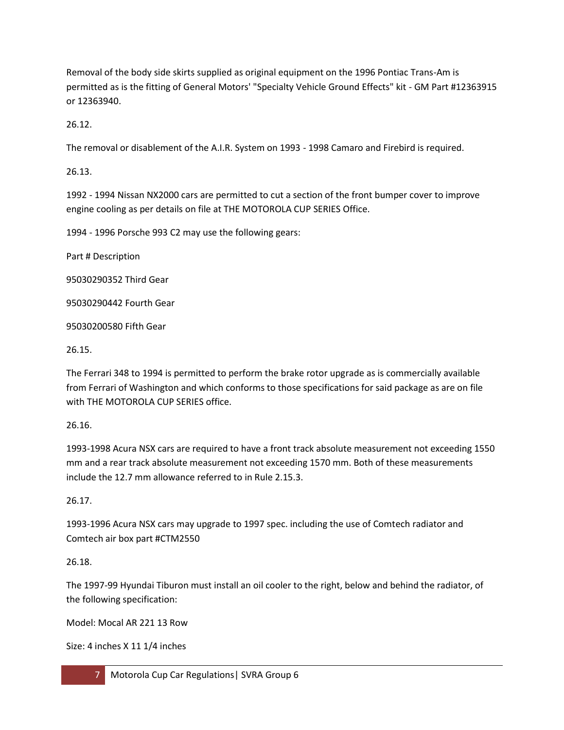Removal of the body side skirts supplied as original equipment on the 1996 Pontiac Trans-Am is permitted as is the fitting of General Motors' "Specialty Vehicle Ground Effects" kit - GM Part #12363915 or 12363940.

26.12.

The removal or disablement of the A.I.R. System on 1993 - 1998 Camaro and Firebird is required.

26.13.

1992 - 1994 Nissan NX2000 cars are permitted to cut a section of the front bumper cover to improve engine cooling as per details on file at THE MOTOROLA CUP SERIES Office.

1994 - 1996 Porsche 993 C2 may use the following gears:

Part # Description

95030290352 Third Gear

95030290442 Fourth Gear

95030200580 Fifth Gear

26.15.

The Ferrari 348 to 1994 is permitted to perform the brake rotor upgrade as is commercially available from Ferrari of Washington and which conforms to those specifications for said package as are on file with THE MOTOROLA CUP SERIES office.

26.16.

1993-1998 Acura NSX cars are required to have a front track absolute measurement not exceeding 1550 mm and a rear track absolute measurement not exceeding 1570 mm. Both of these measurements include the 12.7 mm allowance referred to in Rule 2.15.3.

26.17.

1993-1996 Acura NSX cars may upgrade to 1997 spec. including the use of Comtech radiator and Comtech air box part #CTM2550

26.18.

The 1997-99 Hyundai Tiburon must install an oil cooler to the right, below and behind the radiator, of the following specification:

Model: Mocal AR 221 13 Row

Size: 4 inches X 11 1/4 inches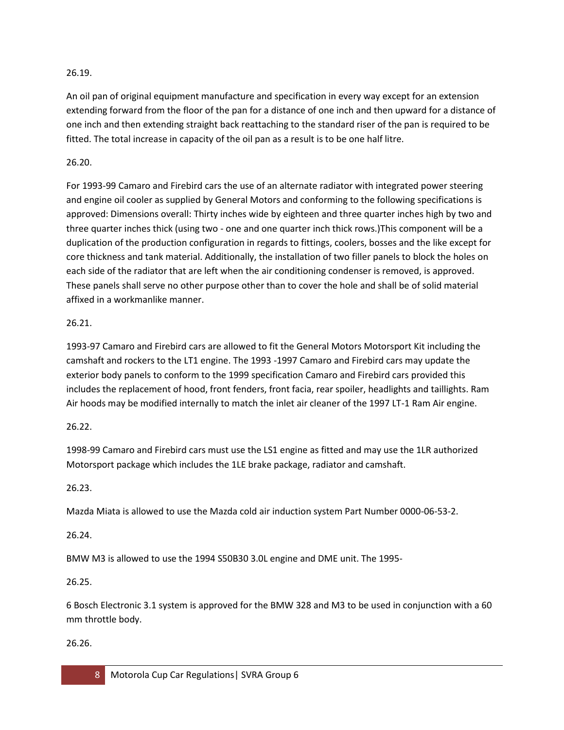### 26.19.

An oil pan of original equipment manufacture and specification in every way except for an extension extending forward from the floor of the pan for a distance of one inch and then upward for a distance of one inch and then extending straight back reattaching to the standard riser of the pan is required to be fitted. The total increase in capacity of the oil pan as a result is to be one half litre.

### 26.20.

For 1993-99 Camaro and Firebird cars the use of an alternate radiator with integrated power steering and engine oil cooler as supplied by General Motors and conforming to the following specifications is approved: Dimensions overall: Thirty inches wide by eighteen and three quarter inches high by two and three quarter inches thick (using two - one and one quarter inch thick rows.)This component will be a duplication of the production configuration in regards to fittings, coolers, bosses and the like except for core thickness and tank material. Additionally, the installation of two filler panels to block the holes on each side of the radiator that are left when the air conditioning condenser is removed, is approved. These panels shall serve no other purpose other than to cover the hole and shall be of solid material affixed in a workmanlike manner.

### 26.21.

1993-97 Camaro and Firebird cars are allowed to fit the General Motors Motorsport Kit including the camshaft and rockers to the LT1 engine. The 1993 -1997 Camaro and Firebird cars may update the exterior body panels to conform to the 1999 specification Camaro and Firebird cars provided this includes the replacement of hood, front fenders, front facia, rear spoiler, headlights and taillights. Ram Air hoods may be modified internally to match the inlet air cleaner of the 1997 LT-1 Ram Air engine.

### 26.22.

1998-99 Camaro and Firebird cars must use the LS1 engine as fitted and may use the 1LR authorized Motorsport package which includes the 1LE brake package, radiator and camshaft.

# 26.23.

Mazda Miata is allowed to use the Mazda cold air induction system Part Number 0000-06-53-2.

# 26.24.

BMW M3 is allowed to use the 1994 S50B30 3.0L engine and DME unit. The 1995-

### 26.25.

6 Bosch Electronic 3.1 system is approved for the BMW 328 and M3 to be used in conjunction with a 60 mm throttle body.

### 26.26.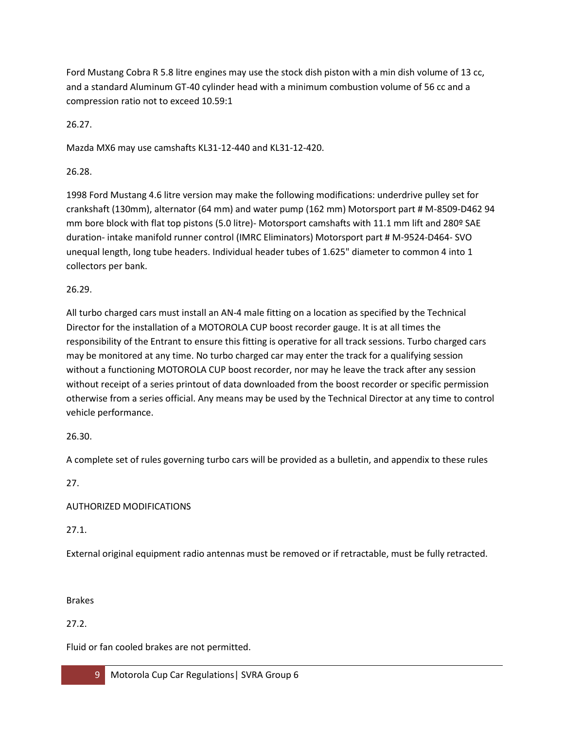Ford Mustang Cobra R 5.8 litre engines may use the stock dish piston with a min dish volume of 13 cc, and a standard Aluminum GT-40 cylinder head with a minimum combustion volume of 56 cc and a compression ratio not to exceed 10.59:1

26.27.

Mazda MX6 may use camshafts KL31-12-440 and KL31-12-420.

26.28.

1998 Ford Mustang 4.6 litre version may make the following modifications: underdrive pulley set for crankshaft (130mm), alternator (64 mm) and water pump (162 mm) Motorsport part # M-8509-D462 94 mm bore block with flat top pistons (5.0 litre)- Motorsport camshafts with 11.1 mm lift and 280º SAE duration- intake manifold runner control (IMRC Eliminators) Motorsport part # M-9524-D464- SVO unequal length, long tube headers. Individual header tubes of 1.625" diameter to common 4 into 1 collectors per bank.

26.29.

All turbo charged cars must install an AN-4 male fitting on a location as specified by the Technical Director for the installation of a MOTOROLA CUP boost recorder gauge. It is at all times the responsibility of the Entrant to ensure this fitting is operative for all track sessions. Turbo charged cars may be monitored at any time. No turbo charged car may enter the track for a qualifying session without a functioning MOTOROLA CUP boost recorder, nor may he leave the track after any session without receipt of a series printout of data downloaded from the boost recorder or specific permission otherwise from a series official. Any means may be used by the Technical Director at any time to control vehicle performance.

26.30.

A complete set of rules governing turbo cars will be provided as a bulletin, and appendix to these rules

27.

AUTHORIZED MODIFICATIONS

27.1.

External original equipment radio antennas must be removed or if retractable, must be fully retracted.

Brakes

27.2.

Fluid or fan cooled brakes are not permitted.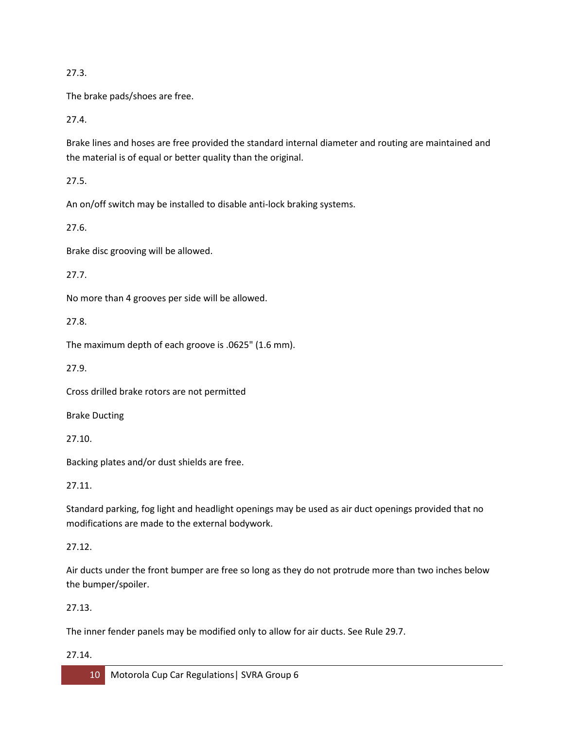### 27.3.

The brake pads/shoes are free.

27.4.

Brake lines and hoses are free provided the standard internal diameter and routing are maintained and the material is of equal or better quality than the original.

27.5.

An on/off switch may be installed to disable anti-lock braking systems.

27.6.

Brake disc grooving will be allowed.

27.7.

No more than 4 grooves per side will be allowed.

27.8.

The maximum depth of each groove is .0625" (1.6 mm).

27.9.

Cross drilled brake rotors are not permitted

Brake Ducting

27.10.

Backing plates and/or dust shields are free.

27.11.

Standard parking, fog light and headlight openings may be used as air duct openings provided that no modifications are made to the external bodywork.

# 27.12.

Air ducts under the front bumper are free so long as they do not protrude more than two inches below the bumper/spoiler.

# 27.13.

The inner fender panels may be modified only to allow for air ducts. See Rule 29.7.

### 27.14.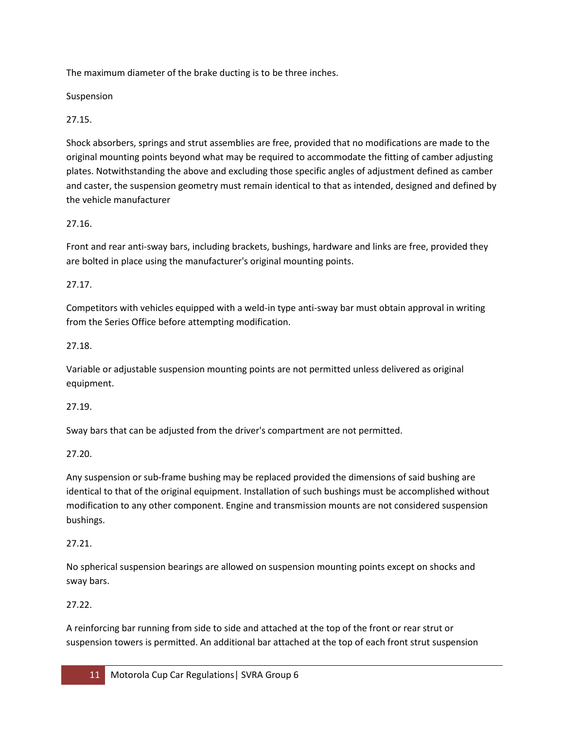The maximum diameter of the brake ducting is to be three inches.

Suspension

27.15.

Shock absorbers, springs and strut assemblies are free, provided that no modifications are made to the original mounting points beyond what may be required to accommodate the fitting of camber adjusting plates. Notwithstanding the above and excluding those specific angles of adjustment defined as camber and caster, the suspension geometry must remain identical to that as intended, designed and defined by the vehicle manufacturer

# 27.16.

Front and rear anti-sway bars, including brackets, bushings, hardware and links are free, provided they are bolted in place using the manufacturer's original mounting points.

# 27.17.

Competitors with vehicles equipped with a weld-in type anti-sway bar must obtain approval in writing from the Series Office before attempting modification.

# 27.18.

Variable or adjustable suspension mounting points are not permitted unless delivered as original equipment.

# 27.19.

Sway bars that can be adjusted from the driver's compartment are not permitted.

# 27.20.

Any suspension or sub-frame bushing may be replaced provided the dimensions of said bushing are identical to that of the original equipment. Installation of such bushings must be accomplished without modification to any other component. Engine and transmission mounts are not considered suspension bushings.

# 27.21.

No spherical suspension bearings are allowed on suspension mounting points except on shocks and sway bars.

# 27.22.

A reinforcing bar running from side to side and attached at the top of the front or rear strut or suspension towers is permitted. An additional bar attached at the top of each front strut suspension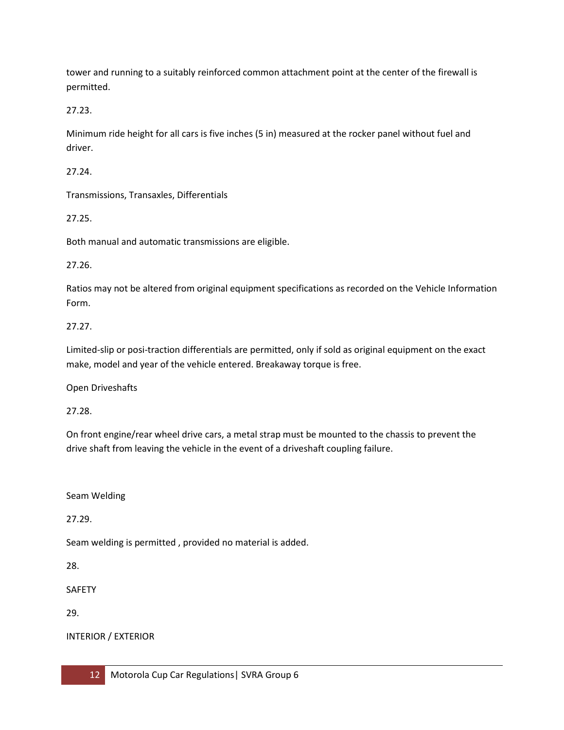tower and running to a suitably reinforced common attachment point at the center of the firewall is permitted.

27.23.

Minimum ride height for all cars is five inches (5 in) measured at the rocker panel without fuel and driver.

27.24.

Transmissions, Transaxles, Differentials

27.25.

Both manual and automatic transmissions are eligible.

27.26.

Ratios may not be altered from original equipment specifications as recorded on the Vehicle Information Form.

# 27.27.

Limited-slip or posi-traction differentials are permitted, only if sold as original equipment on the exact make, model and year of the vehicle entered. Breakaway torque is free.

Open Driveshafts

27.28.

On front engine/rear wheel drive cars, a metal strap must be mounted to the chassis to prevent the drive shaft from leaving the vehicle in the event of a driveshaft coupling failure.

Seam Welding

27.29.

Seam welding is permitted , provided no material is added.

28.

SAFETY

29.

INTERIOR / EXTERIOR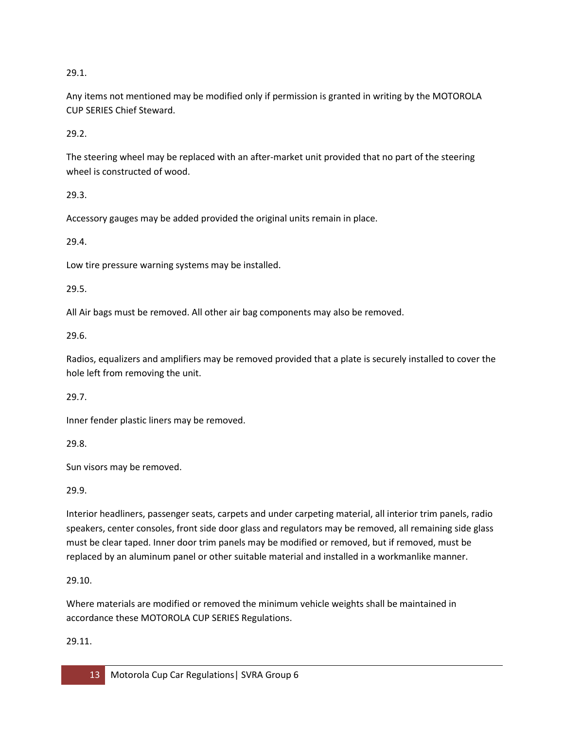29.1.

Any items not mentioned may be modified only if permission is granted in writing by the MOTOROLA CUP SERIES Chief Steward.

29.2.

The steering wheel may be replaced with an after-market unit provided that no part of the steering wheel is constructed of wood.

29.3.

Accessory gauges may be added provided the original units remain in place.

29.4.

Low tire pressure warning systems may be installed.

29.5.

All Air bags must be removed. All other air bag components may also be removed.

29.6.

Radios, equalizers and amplifiers may be removed provided that a plate is securely installed to cover the hole left from removing the unit.

29.7.

Inner fender plastic liners may be removed.

29.8.

Sun visors may be removed.

29.9.

Interior headliners, passenger seats, carpets and under carpeting material, all interior trim panels, radio speakers, center consoles, front side door glass and regulators may be removed, all remaining side glass must be clear taped. Inner door trim panels may be modified or removed, but if removed, must be replaced by an aluminum panel or other suitable material and installed in a workmanlike manner.

29.10.

Where materials are modified or removed the minimum vehicle weights shall be maintained in accordance these MOTOROLA CUP SERIES Regulations.

29.11.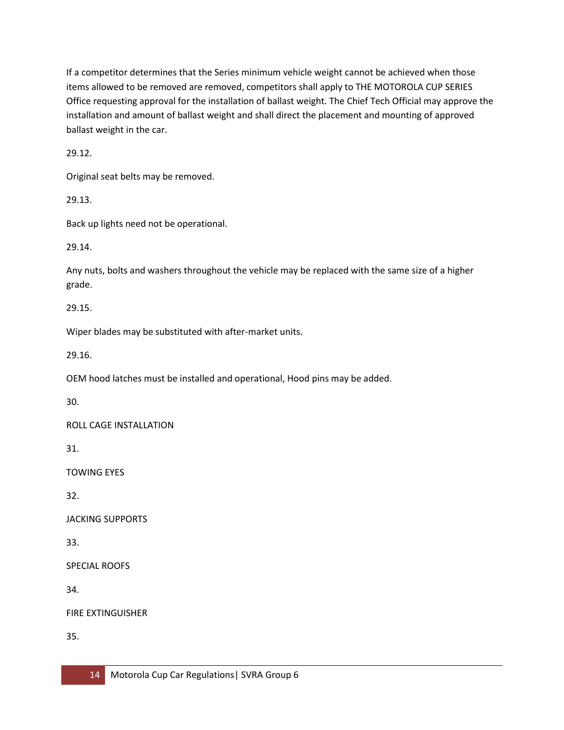If a competitor determines that the Series minimum vehicle weight cannot be achieved when those items allowed to be removed are removed, competitors shall apply to THE MOTOROLA CUP SERIES Office requesting approval for the installation of ballast weight. The Chief Tech Official may approve the installation and amount of ballast weight and shall direct the placement and mounting of approved ballast weight in the car.

29.12.

Original seat belts may be removed.

29.13.

Back up lights need not be operational.

29.14.

Any nuts, bolts and washers throughout the vehicle may be replaced with the same size of a higher grade.

29.15.

Wiper blades may be substituted with after-market units.

29.16.

OEM hood latches must be installed and operational, Hood pins may be added.

30.

ROLL CAGE INSTALLATION

31.

TOWING EYES

32.

JACKING SUPPORTS

33.

SPECIAL ROOFS

34.

FIRE EXTINGUISHER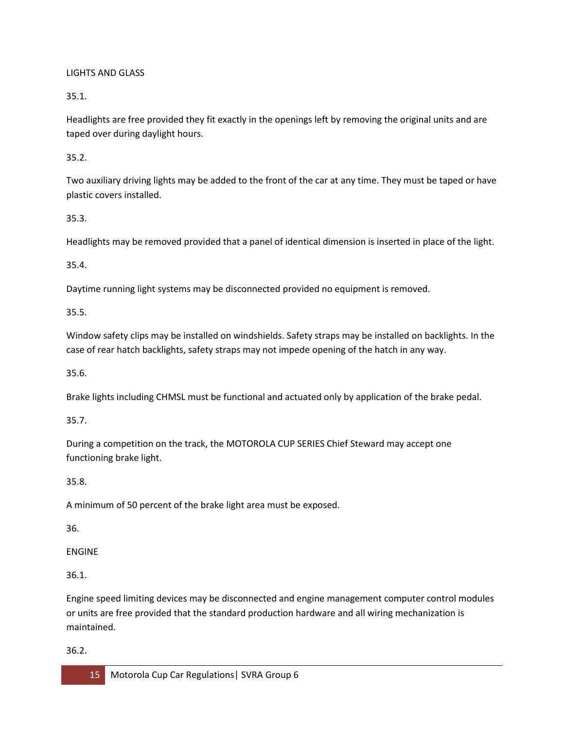### LIGHTS AND GLASS

35.1.

Headlights are free provided they fit exactly in the openings left by removing the original units and are taped over during daylight hours.

35.2.

Two auxiliary driving lights may be added to the front of the car at any time. They must be taped or have plastic covers installed.

35.3.

Headlights may be removed provided that a panel of identical dimension is inserted in place of the light.

35.4.

Daytime running light systems may be disconnected provided no equipment is removed.

35.5.

Window safety clips may be installed on windshields. Safety straps may be installed on backlights. In the case of rear hatch backlights, safety straps may not impede opening of the hatch in any way.

35.6.

Brake lights including CHMSL must be functional and actuated only by application of the brake pedal.

35.7.

During a competition on the track, the MOTOROLA CUP SERIES Chief Steward may accept one functioning brake light.

35.8.

A minimum of 50 percent of the brake light area must be exposed.

36.

ENGINE

36.1.

Engine speed limiting devices may be disconnected and engine management computer control modules or units are free provided that the standard production hardware and all wiring mechanization is maintained.

36.2.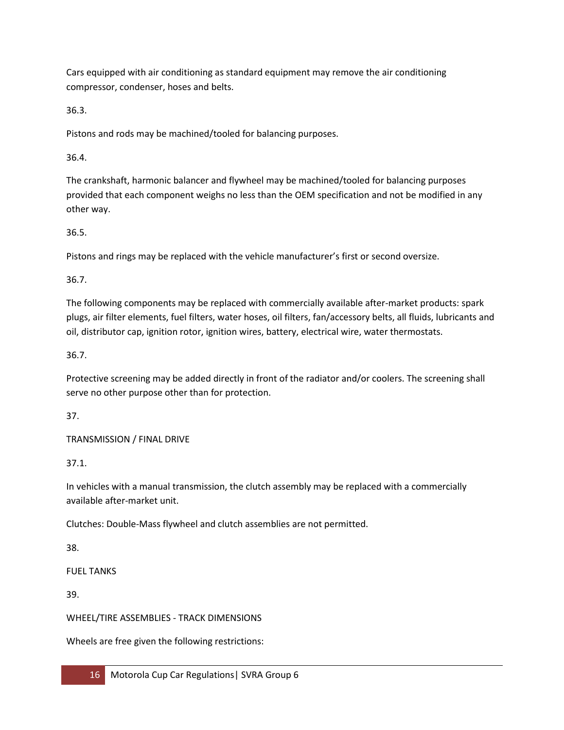Cars equipped with air conditioning as standard equipment may remove the air conditioning compressor, condenser, hoses and belts.

36.3.

Pistons and rods may be machined/tooled for balancing purposes.

36.4.

The crankshaft, harmonic balancer and flywheel may be machined/tooled for balancing purposes provided that each component weighs no less than the OEM specification and not be modified in any other way.

36.5.

Pistons and rings may be replaced with the vehicle manufacturer's first or second oversize.

36.7.

The following components may be replaced with commercially available after-market products: spark plugs, air filter elements, fuel filters, water hoses, oil filters, fan/accessory belts, all fluids, lubricants and oil, distributor cap, ignition rotor, ignition wires, battery, electrical wire, water thermostats.

36.7.

Protective screening may be added directly in front of the radiator and/or coolers. The screening shall serve no other purpose other than for protection.

37.

TRANSMISSION / FINAL DRIVE

37.1.

In vehicles with a manual transmission, the clutch assembly may be replaced with a commercially available after-market unit.

Clutches: Double-Mass flywheel and clutch assemblies are not permitted.

38.

FUEL TANKS

39.

WHEEL/TIRE ASSEMBLIES - TRACK DIMENSIONS

Wheels are free given the following restrictions: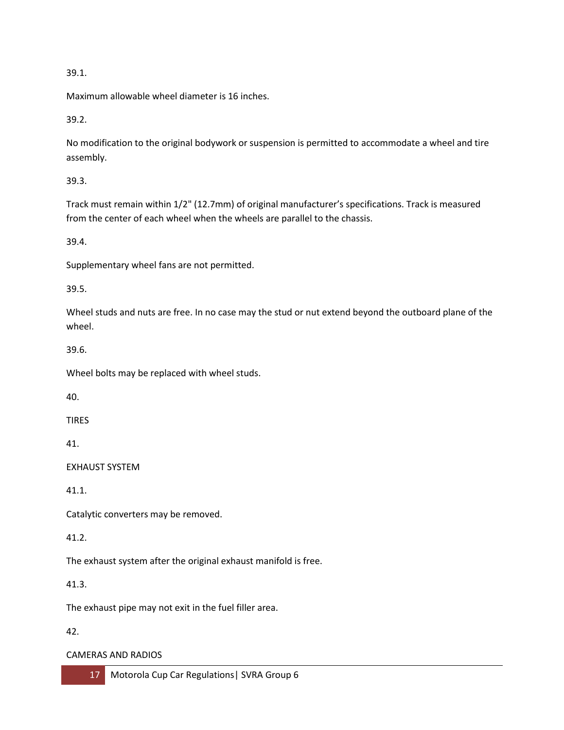### 39.1.

Maximum allowable wheel diameter is 16 inches.

39.2.

No modification to the original bodywork or suspension is permitted to accommodate a wheel and tire assembly.

39.3.

Track must remain within 1/2" (12.7mm) of original manufacturer's specifications. Track is measured from the center of each wheel when the wheels are parallel to the chassis.

39.4.

Supplementary wheel fans are not permitted.

39.5.

Wheel studs and nuts are free. In no case may the stud or nut extend beyond the outboard plane of the wheel.

39.6.

Wheel bolts may be replaced with wheel studs.

40.

TIRES

41.

EXHAUST SYSTEM

41.1.

Catalytic converters may be removed.

41.2.

The exhaust system after the original exhaust manifold is free.

41.3.

The exhaust pipe may not exit in the fuel filler area.

42.

### CAMERAS AND RADIOS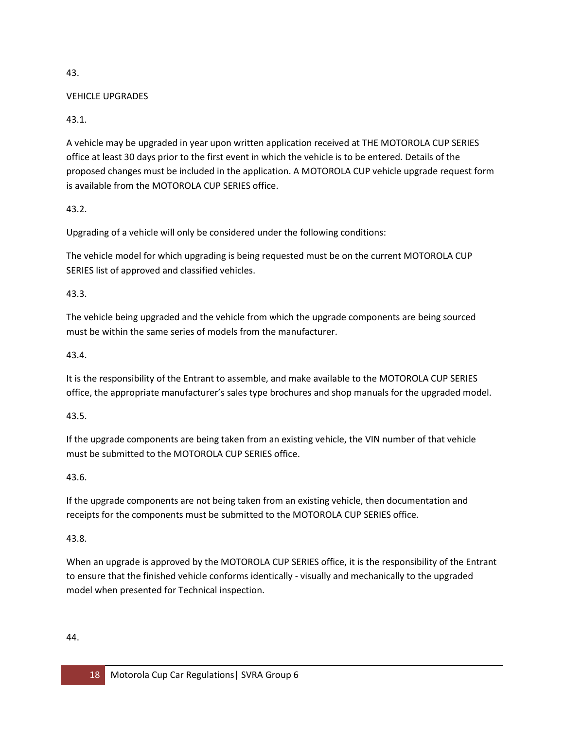#### 43.

### VEHICLE UPGRADES

### 43.1.

A vehicle may be upgraded in year upon written application received at THE MOTOROLA CUP SERIES office at least 30 days prior to the first event in which the vehicle is to be entered. Details of the proposed changes must be included in the application. A MOTOROLA CUP vehicle upgrade request form is available from the MOTOROLA CUP SERIES office.

### 43.2.

Upgrading of a vehicle will only be considered under the following conditions:

The vehicle model for which upgrading is being requested must be on the current MOTOROLA CUP SERIES list of approved and classified vehicles.

### 43.3.

The vehicle being upgraded and the vehicle from which the upgrade components are being sourced must be within the same series of models from the manufacturer.

### 43.4.

It is the responsibility of the Entrant to assemble, and make available to the MOTOROLA CUP SERIES office, the appropriate manufacturer's sales type brochures and shop manuals for the upgraded model.

### 43.5.

If the upgrade components are being taken from an existing vehicle, the VIN number of that vehicle must be submitted to the MOTOROLA CUP SERIES office.

### 43.6.

If the upgrade components are not being taken from an existing vehicle, then documentation and receipts for the components must be submitted to the MOTOROLA CUP SERIES office.

### 43.8.

When an upgrade is approved by the MOTOROLA CUP SERIES office, it is the responsibility of the Entrant to ensure that the finished vehicle conforms identically - visually and mechanically to the upgraded model when presented for Technical inspection.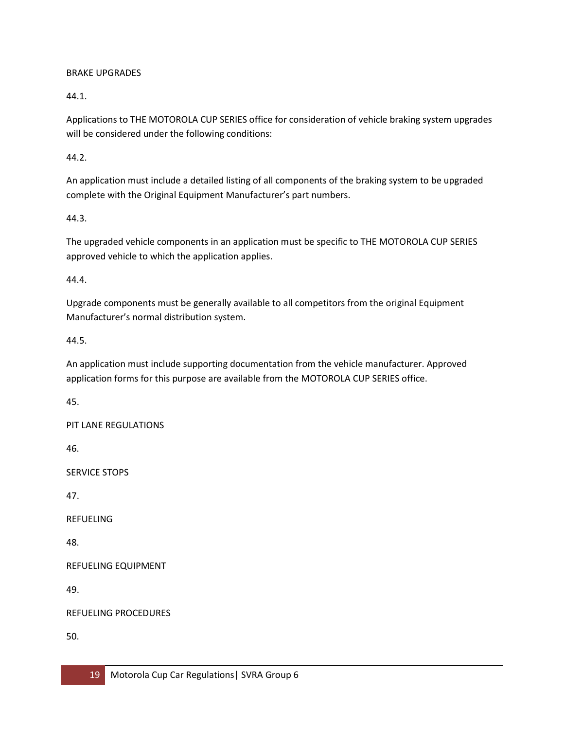### BRAKE UPGRADES

44.1.

Applications to THE MOTOROLA CUP SERIES office for consideration of vehicle braking system upgrades will be considered under the following conditions:

44.2.

An application must include a detailed listing of all components of the braking system to be upgraded complete with the Original Equipment Manufacturer's part numbers.

44.3.

The upgraded vehicle components in an application must be specific to THE MOTOROLA CUP SERIES approved vehicle to which the application applies.

44.4.

Upgrade components must be generally available to all competitors from the original Equipment Manufacturer's normal distribution system.

44.5.

An application must include supporting documentation from the vehicle manufacturer. Approved application forms for this purpose are available from the MOTOROLA CUP SERIES office.

45.

PIT LANE REGULATIONS

46.

SERVICE STOPS

47.

REFUELING

48.

REFUELING EQUIPMENT

49.

REFUELING PROCEDURES